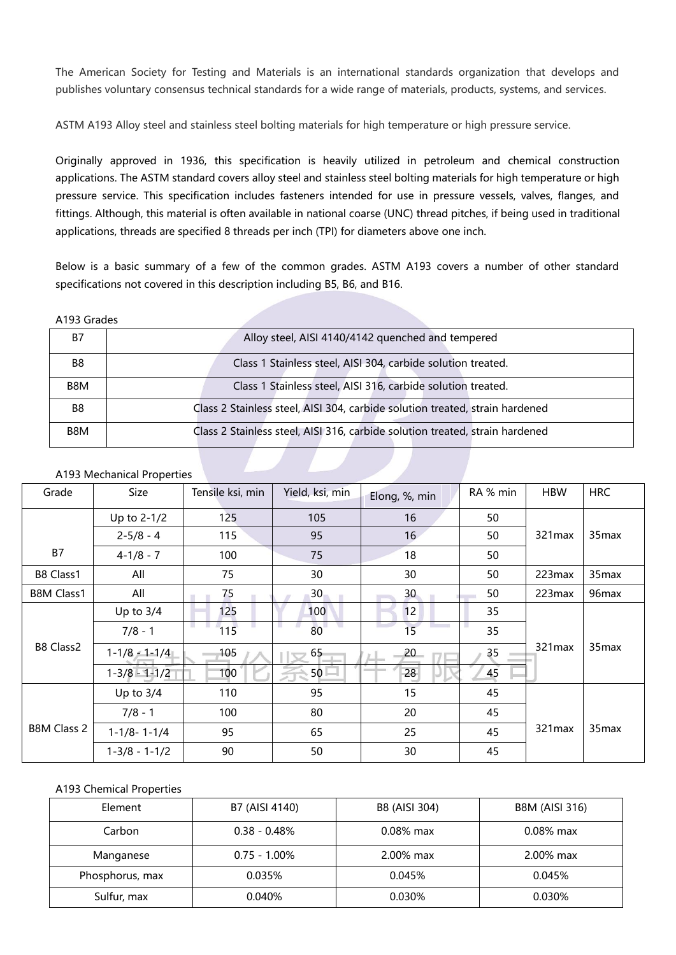The American Society for Testing and Materials is an international standards organization that develops and publishes voluntary consensus technical standards for a wide range of materials, products, systems, and services.

ASTM A193 Alloy steel and stainless steel bolting materials for high temperature or high pressure service.

Originally approved in 1936, this specification is heavily utilized in petroleum and chemical construction applications. The ASTM standard covers alloy steel and stainless steel bolting materials for high temperature or high pressure service. This specification includes fasteners intended for use in pressure vessels, valves, flanges, and fittings. Although, this material is often available in [national](https://www.portlandbolt.com/technical/faqs/astm-a193-b7-thread-pitch-explained/) coarse (UNC) thread pitches, if being used in traditional applications, threads are specified 8 threads per inch (TPI) for diameters above one inch.

Below is a basic summary of a few of the common grades. ASTM A193 covers a number of other standard specifications not covered in this description including B5, B6, and B16.

A193 Grades

| Β7             | Alloy steel, AISI 4140/4142 quenched and tempered                            |
|----------------|------------------------------------------------------------------------------|
| B8             | Class 1 Stainless steel, AISI 304, carbide solution treated.                 |
| B8M            | Class 1 Stainless steel, AISI 316, carbide solution treated.                 |
| B <sub>8</sub> | Class 2 Stainless steel, AISI 304, carbide solution treated, strain hardened |
| B8M            | Class 2 Stainless steel, AISI 316, carbide solution treated, strain hardened |

## A193 Mechanical Properties

| Grade              | Size                | Tensile ksi, min | Yield, ksi, min | Elong, %, min   | RA % min        | <b>HBW</b> | <b>HRC</b>        |
|--------------------|---------------------|------------------|-----------------|-----------------|-----------------|------------|-------------------|
|                    | Up to 2-1/2         | 125              | 105             | 16              | 50              |            |                   |
|                    | $2 - 5/8 - 4$       | 115              | 95              | 16 <sup>°</sup> | 50              | 321 max    | 35 <sub>max</sub> |
| <b>B7</b>          | $4-1/8 - 7$         | 100              | 75              | 18              | 50              |            |                   |
| B8 Class1          | All                 | 75               | 30              | 30              | 50              | 223max     | 35 <sub>max</sub> |
| <b>B8M Class1</b>  | All                 | 75               | $30 -$          | 30 <sub>2</sub> | 50              | 223max     | 96max             |
|                    | Up to $3/4$         | 125              | 100             | 12              | 35              |            |                   |
|                    | $7/8 - 1$           | 115              | 80              | 15              | 35              |            |                   |
| B8 Class2          | $1-1/8 - 1-1/4$     | 105              | $65 -$          | $-20$           | 35 <sub>2</sub> | 321max     | 35max             |
|                    | $1 - 3/8 - 1 - 1/2$ | 100              | $50 -$          | 28              | 45              |            |                   |
|                    | Up to $3/4$         | 110              | 95              | 15              | 45              |            |                   |
|                    | $7/8 - 1$           | 100              | 80              | 20              | 45              |            |                   |
| <b>B8M Class 2</b> | $1-1/8 - 1-1/4$     | 95               | 65              | 25              | 45              | 321max     | 35 <sub>max</sub> |
|                    | $1-3/8 - 1-1/2$     | 90               | 50              | 30              | 45              |            |                   |

## A193 Chemical Properties

| Element         | B7 (AISI 4140)  | B8 (AISI 304) | <b>B8M (AISI 316)</b> |
|-----------------|-----------------|---------------|-----------------------|
| Carbon          | $0.38 - 0.48\%$ | $0.08\%$ max  | $0.08\%$ max          |
| Manganese       | $0.75 - 1.00\%$ | 2.00% max     | 2.00% max             |
| Phosphorus, max | 0.035%          | 0.045%        | 0.045%                |
| Sulfur, max     | 0.040%          | 0.030%        | 0.030%                |